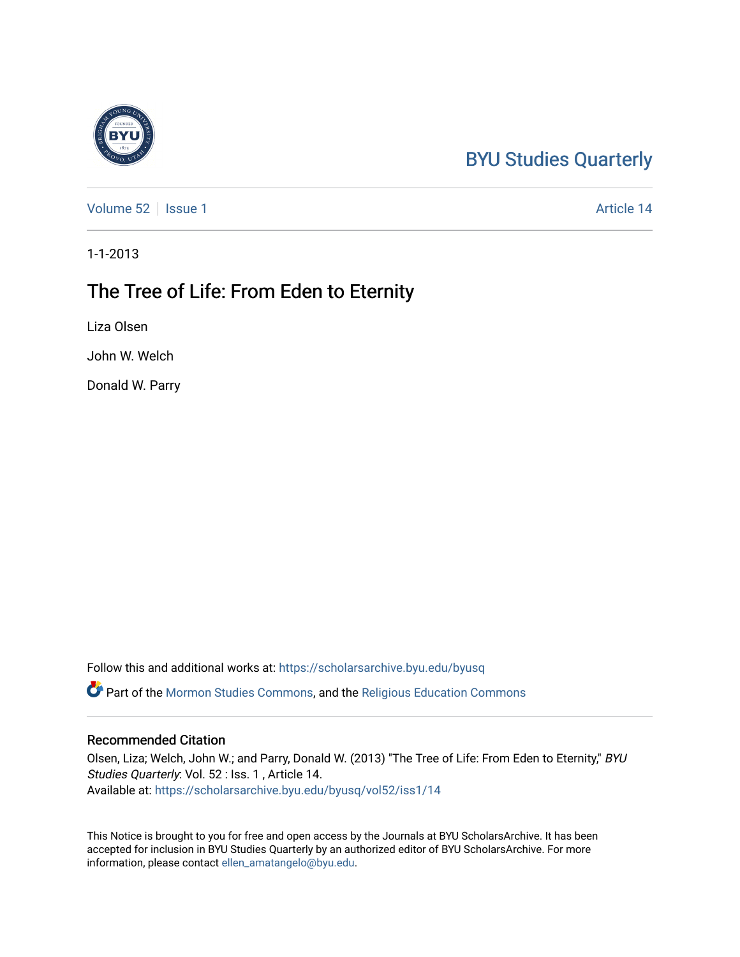## [BYU Studies Quarterly](https://scholarsarchive.byu.edu/byusq)

[Volume 52](https://scholarsarchive.byu.edu/byusq/vol52) | [Issue 1](https://scholarsarchive.byu.edu/byusq/vol52/iss1) Article 14

1-1-2013

## The Tree of Life: From Eden to Eternity

Liza Olsen

John W. Welch

Donald W. Parry

Follow this and additional works at: [https://scholarsarchive.byu.edu/byusq](https://scholarsarchive.byu.edu/byusq?utm_source=scholarsarchive.byu.edu%2Fbyusq%2Fvol52%2Fiss1%2F14&utm_medium=PDF&utm_campaign=PDFCoverPages) 

Part of the [Mormon Studies Commons](http://network.bepress.com/hgg/discipline/1360?utm_source=scholarsarchive.byu.edu%2Fbyusq%2Fvol52%2Fiss1%2F14&utm_medium=PDF&utm_campaign=PDFCoverPages), and the [Religious Education Commons](http://network.bepress.com/hgg/discipline/1414?utm_source=scholarsarchive.byu.edu%2Fbyusq%2Fvol52%2Fiss1%2F14&utm_medium=PDF&utm_campaign=PDFCoverPages) 

## Recommended Citation

Olsen, Liza; Welch, John W.; and Parry, Donald W. (2013) "The Tree of Life: From Eden to Eternity," BYU Studies Quarterly: Vol. 52 : Iss. 1 , Article 14. Available at: [https://scholarsarchive.byu.edu/byusq/vol52/iss1/14](https://scholarsarchive.byu.edu/byusq/vol52/iss1/14?utm_source=scholarsarchive.byu.edu%2Fbyusq%2Fvol52%2Fiss1%2F14&utm_medium=PDF&utm_campaign=PDFCoverPages) 

This Notice is brought to you for free and open access by the Journals at BYU ScholarsArchive. It has been accepted for inclusion in BYU Studies Quarterly by an authorized editor of BYU ScholarsArchive. For more information, please contact [ellen\\_amatangelo@byu.edu.](mailto:ellen_amatangelo@byu.edu)